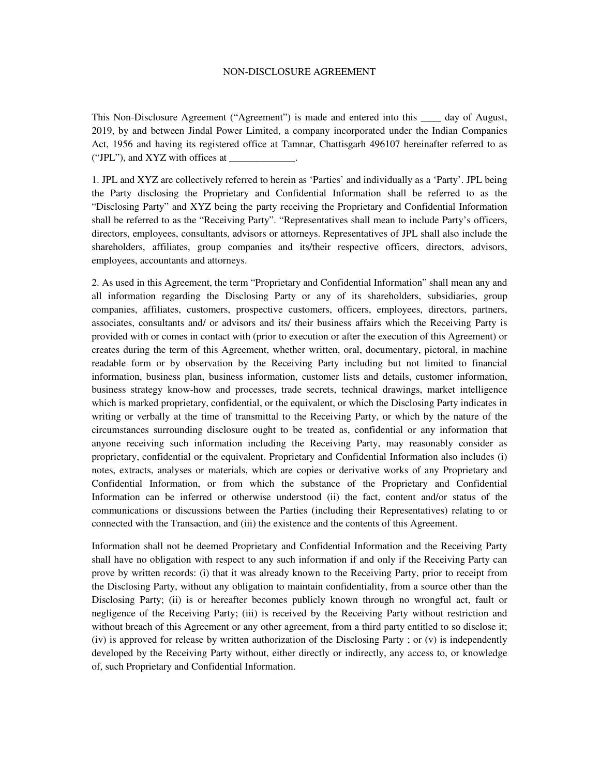## NON-DISCLOSURE AGREEMENT

This Non-Disclosure Agreement ("Agreement") is made and entered into this \_\_\_\_ day of August, 2019, by and between Jindal Power Limited, a company incorporated under the Indian Companies Act, 1956 and having its registered office at Tamnar, Chattisgarh 496107 hereinafter referred to as ("JPL"), and  $XYZ$  with offices at

1. JPL and XYZ are collectively referred to herein as 'Parties' and individually as a 'Party'. JPL being the Party disclosing the Proprietary and Confidential Information shall be referred to as the "Disclosing Party" and XYZ being the party receiving the Proprietary and Confidential Information shall be referred to as the "Receiving Party". "Representatives shall mean to include Party's officers, directors, employees, consultants, advisors or attorneys. Representatives of JPL shall also include the shareholders, affiliates, group companies and its/their respective officers, directors, advisors, employees, accountants and attorneys.

2. As used in this Agreement, the term "Proprietary and Confidential Information" shall mean any and all information regarding the Disclosing Party or any of its shareholders, subsidiaries, group companies, affiliates, customers, prospective customers, officers, employees, directors, partners, associates, consultants and/ or advisors and its/ their business affairs which the Receiving Party is provided with or comes in contact with (prior to execution or after the execution of this Agreement) or creates during the term of this Agreement, whether written, oral, documentary, pictoral, in machine readable form or by observation by the Receiving Party including but not limited to financial information, business plan, business information, customer lists and details, customer information, business strategy know-how and processes, trade secrets, technical drawings, market intelligence which is marked proprietary, confidential, or the equivalent, or which the Disclosing Party indicates in writing or verbally at the time of transmittal to the Receiving Party, or which by the nature of the circumstances surrounding disclosure ought to be treated as, confidential or any information that anyone receiving such information including the Receiving Party, may reasonably consider as proprietary, confidential or the equivalent. Proprietary and Confidential Information also includes (i) notes, extracts, analyses or materials, which are copies or derivative works of any Proprietary and Confidential Information, or from which the substance of the Proprietary and Confidential Information can be inferred or otherwise understood (ii) the fact, content and/or status of the communications or discussions between the Parties (including their Representatives) relating to or connected with the Transaction, and (iii) the existence and the contents of this Agreement.

Information shall not be deemed Proprietary and Confidential Information and the Receiving Party shall have no obligation with respect to any such information if and only if the Receiving Party can prove by written records: (i) that it was already known to the Receiving Party, prior to receipt from the Disclosing Party, without any obligation to maintain confidentiality, from a source other than the Disclosing Party; (ii) is or hereafter becomes publicly known through no wrongful act, fault or negligence of the Receiving Party; (iii) is received by the Receiving Party without restriction and without breach of this Agreement or any other agreement, from a third party entitled to so disclose it; (iv) is approved for release by written authorization of the Disclosing Party ; or (v) is independently developed by the Receiving Party without, either directly or indirectly, any access to, or knowledge of, such Proprietary and Confidential Information.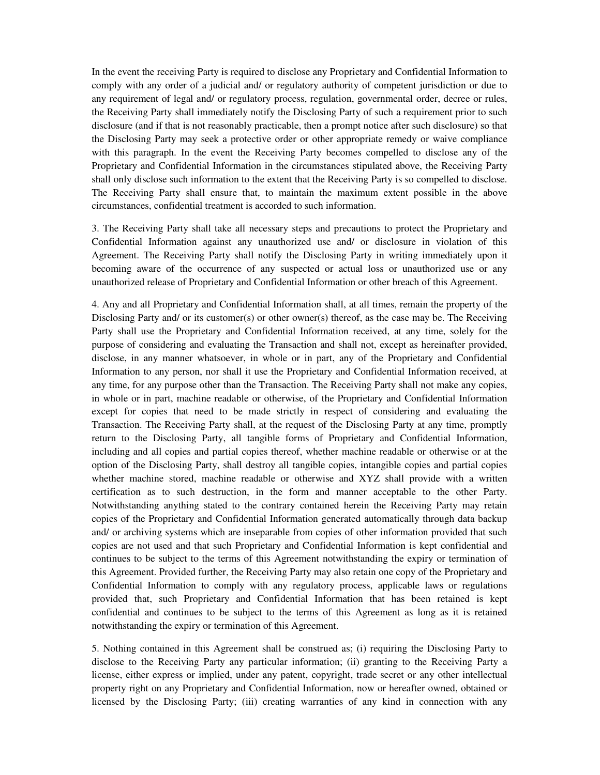In the event the receiving Party is required to disclose any Proprietary and Confidential Information to comply with any order of a judicial and/ or regulatory authority of competent jurisdiction or due to any requirement of legal and/ or regulatory process, regulation, governmental order, decree or rules, the Receiving Party shall immediately notify the Disclosing Party of such a requirement prior to such disclosure (and if that is not reasonably practicable, then a prompt notice after such disclosure) so that the Disclosing Party may seek a protective order or other appropriate remedy or waive compliance with this paragraph. In the event the Receiving Party becomes compelled to disclose any of the Proprietary and Confidential Information in the circumstances stipulated above, the Receiving Party shall only disclose such information to the extent that the Receiving Party is so compelled to disclose. The Receiving Party shall ensure that, to maintain the maximum extent possible in the above circumstances, confidential treatment is accorded to such information.

3. The Receiving Party shall take all necessary steps and precautions to protect the Proprietary and Confidential Information against any unauthorized use and/ or disclosure in violation of this Agreement. The Receiving Party shall notify the Disclosing Party in writing immediately upon it becoming aware of the occurrence of any suspected or actual loss or unauthorized use or any unauthorized release of Proprietary and Confidential Information or other breach of this Agreement.

4. Any and all Proprietary and Confidential Information shall, at all times, remain the property of the Disclosing Party and/ or its customer(s) or other owner(s) thereof, as the case may be. The Receiving Party shall use the Proprietary and Confidential Information received, at any time, solely for the purpose of considering and evaluating the Transaction and shall not, except as hereinafter provided, disclose, in any manner whatsoever, in whole or in part, any of the Proprietary and Confidential Information to any person, nor shall it use the Proprietary and Confidential Information received, at any time, for any purpose other than the Transaction. The Receiving Party shall not make any copies, in whole or in part, machine readable or otherwise, of the Proprietary and Confidential Information except for copies that need to be made strictly in respect of considering and evaluating the Transaction. The Receiving Party shall, at the request of the Disclosing Party at any time, promptly return to the Disclosing Party, all tangible forms of Proprietary and Confidential Information, including and all copies and partial copies thereof, whether machine readable or otherwise or at the option of the Disclosing Party, shall destroy all tangible copies, intangible copies and partial copies whether machine stored, machine readable or otherwise and XYZ shall provide with a written certification as to such destruction, in the form and manner acceptable to the other Party. Notwithstanding anything stated to the contrary contained herein the Receiving Party may retain copies of the Proprietary and Confidential Information generated automatically through data backup and/ or archiving systems which are inseparable from copies of other information provided that such copies are not used and that such Proprietary and Confidential Information is kept confidential and continues to be subject to the terms of this Agreement notwithstanding the expiry or termination of this Agreement. Provided further, the Receiving Party may also retain one copy of the Proprietary and Confidential Information to comply with any regulatory process, applicable laws or regulations provided that, such Proprietary and Confidential Information that has been retained is kept confidential and continues to be subject to the terms of this Agreement as long as it is retained notwithstanding the expiry or termination of this Agreement.

5. Nothing contained in this Agreement shall be construed as; (i) requiring the Disclosing Party to disclose to the Receiving Party any particular information; (ii) granting to the Receiving Party a license, either express or implied, under any patent, copyright, trade secret or any other intellectual property right on any Proprietary and Confidential Information, now or hereafter owned, obtained or licensed by the Disclosing Party; (iii) creating warranties of any kind in connection with any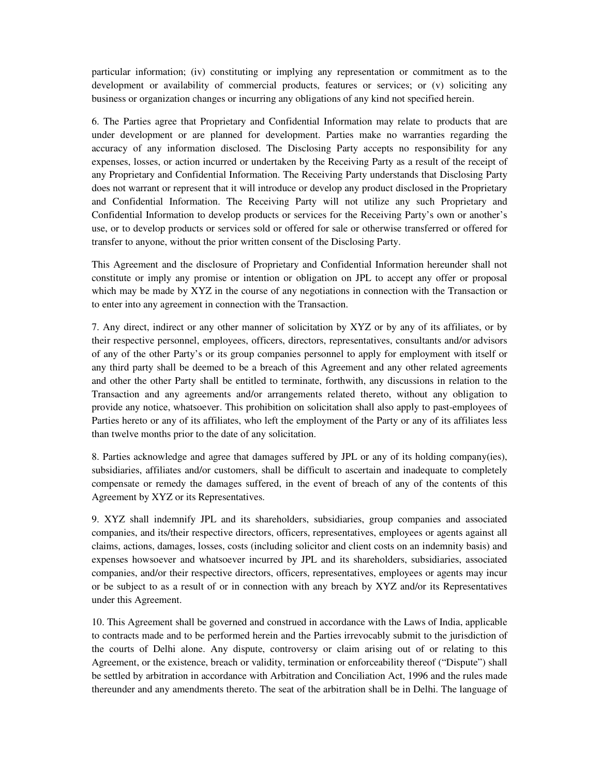particular information; (iv) constituting or implying any representation or commitment as to the development or availability of commercial products, features or services; or (v) soliciting any business or organization changes or incurring any obligations of any kind not specified herein.

6. The Parties agree that Proprietary and Confidential Information may relate to products that are under development or are planned for development. Parties make no warranties regarding the accuracy of any information disclosed. The Disclosing Party accepts no responsibility for any expenses, losses, or action incurred or undertaken by the Receiving Party as a result of the receipt of any Proprietary and Confidential Information. The Receiving Party understands that Disclosing Party does not warrant or represent that it will introduce or develop any product disclosed in the Proprietary and Confidential Information. The Receiving Party will not utilize any such Proprietary and Confidential Information to develop products or services for the Receiving Party's own or another's use, or to develop products or services sold or offered for sale or otherwise transferred or offered for transfer to anyone, without the prior written consent of the Disclosing Party.

This Agreement and the disclosure of Proprietary and Confidential Information hereunder shall not constitute or imply any promise or intention or obligation on JPL to accept any offer or proposal which may be made by XYZ in the course of any negotiations in connection with the Transaction or to enter into any agreement in connection with the Transaction.

7. Any direct, indirect or any other manner of solicitation by XYZ or by any of its affiliates, or by their respective personnel, employees, officers, directors, representatives, consultants and/or advisors of any of the other Party's or its group companies personnel to apply for employment with itself or any third party shall be deemed to be a breach of this Agreement and any other related agreements and other the other Party shall be entitled to terminate, forthwith, any discussions in relation to the Transaction and any agreements and/or arrangements related thereto, without any obligation to provide any notice, whatsoever. This prohibition on solicitation shall also apply to past-employees of Parties hereto or any of its affiliates, who left the employment of the Party or any of its affiliates less than twelve months prior to the date of any solicitation.

8. Parties acknowledge and agree that damages suffered by JPL or any of its holding company(ies), subsidiaries, affiliates and/or customers, shall be difficult to ascertain and inadequate to completely compensate or remedy the damages suffered, in the event of breach of any of the contents of this Agreement by XYZ or its Representatives.

9. XYZ shall indemnify JPL and its shareholders, subsidiaries, group companies and associated companies, and its/their respective directors, officers, representatives, employees or agents against all claims, actions, damages, losses, costs (including solicitor and client costs on an indemnity basis) and expenses howsoever and whatsoever incurred by JPL and its shareholders, subsidiaries, associated companies, and/or their respective directors, officers, representatives, employees or agents may incur or be subject to as a result of or in connection with any breach by XYZ and/or its Representatives under this Agreement.

10. This Agreement shall be governed and construed in accordance with the Laws of India, applicable to contracts made and to be performed herein and the Parties irrevocably submit to the jurisdiction of the courts of Delhi alone. Any dispute, controversy or claim arising out of or relating to this Agreement, or the existence, breach or validity, termination or enforceability thereof ("Dispute") shall be settled by arbitration in accordance with Arbitration and Conciliation Act, 1996 and the rules made thereunder and any amendments thereto. The seat of the arbitration shall be in Delhi. The language of